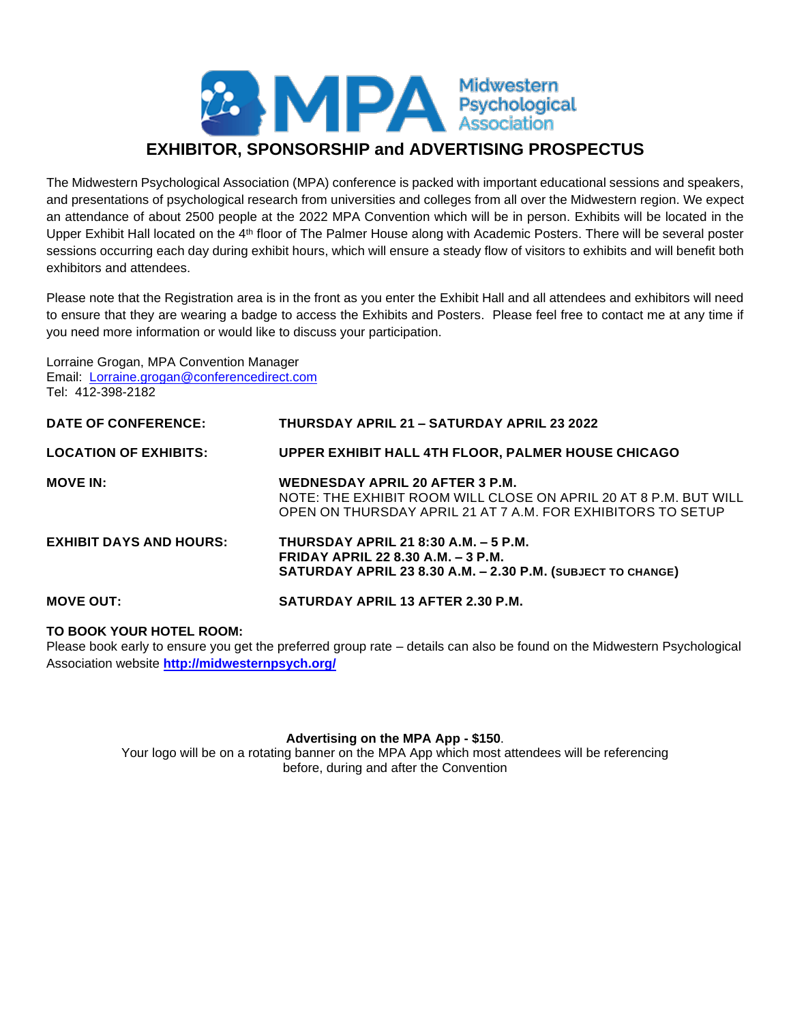# 22 MPA Midwestern<br>Association **EXHIBITOR, SPONSORSHIP and ADVERTISING PROSPECTUS**

The Midwestern Psychological Association (MPA) conference is packed with important educational sessions and speakers, and presentations of psychological research from universities and colleges from all over the Midwestern region. We expect an attendance of about 2500 people at the 2022 MPA Convention which will be in person. Exhibits will be located in the Upper Exhibit Hall located on the 4th floor of The Palmer House along with Academic Posters. There will be several poster sessions occurring each day during exhibit hours, which will ensure a steady flow of visitors to exhibits and will benefit both exhibitors and attendees.

Please note that the Registration area is in the front as you enter the Exhibit Hall and all attendees and exhibitors will need to ensure that they are wearing a badge to access the Exhibits and Posters. Please feel free to contact me at any time if you need more information or would like to discuss your participation.

Lorraine Grogan, MPA Convention Manager Email: [Lorraine.grogan@conferencedirect.com](mailto:Lorraine.grogan@conferencedirect.com)  Tel: 412-398-2182

| <b>DATE OF CONFERENCE:</b>     | <b>THURSDAY APRIL 21 - SATURDAY APRIL 23 2022</b>                                                                                                                         |
|--------------------------------|---------------------------------------------------------------------------------------------------------------------------------------------------------------------------|
| <b>LOCATION OF EXHIBITS:</b>   | <b>UPPER EXHIBIT HALL 4TH FLOOR, PALMER HOUSE CHICAGO</b>                                                                                                                 |
| <b>MOVE IN:</b>                | <b>WEDNESDAY APRIL 20 AFTER 3 P.M.</b><br>NOTE: THE EXHIBIT ROOM WILL CLOSE ON APRIL 20 AT 8 P.M. BUT WILL<br>OPEN ON THURSDAY APRIL 21 AT 7 A.M. FOR EXHIBITORS TO SETUP |
| <b>EXHIBIT DAYS AND HOURS:</b> | <b>THURSDAY APRIL 21 8:30 A.M. - 5 P.M.</b><br>FRIDAY APRIL 22 8.30 A.M. - 3 P.M.<br>SATURDAY APRIL 23 8.30 A.M. - 2.30 P.M. (SUBJECT TO CHANGE)                          |
| <b>MOVE OUT:</b>               | <b>SATURDAY APRIL 13 AFTER 2.30 P.M.</b>                                                                                                                                  |

### **TO BOOK YOUR HOTEL ROOM:**

Please book early to ensure you get the preferred group rate – details can also be found on the Midwestern Psychological Association website **<http://midwesternpsych.org/>**

#### **Advertising on the MPA App - \$150**.

Your logo will be on a rotating banner on the MPA App which most attendees will be referencing before, during and after the Convention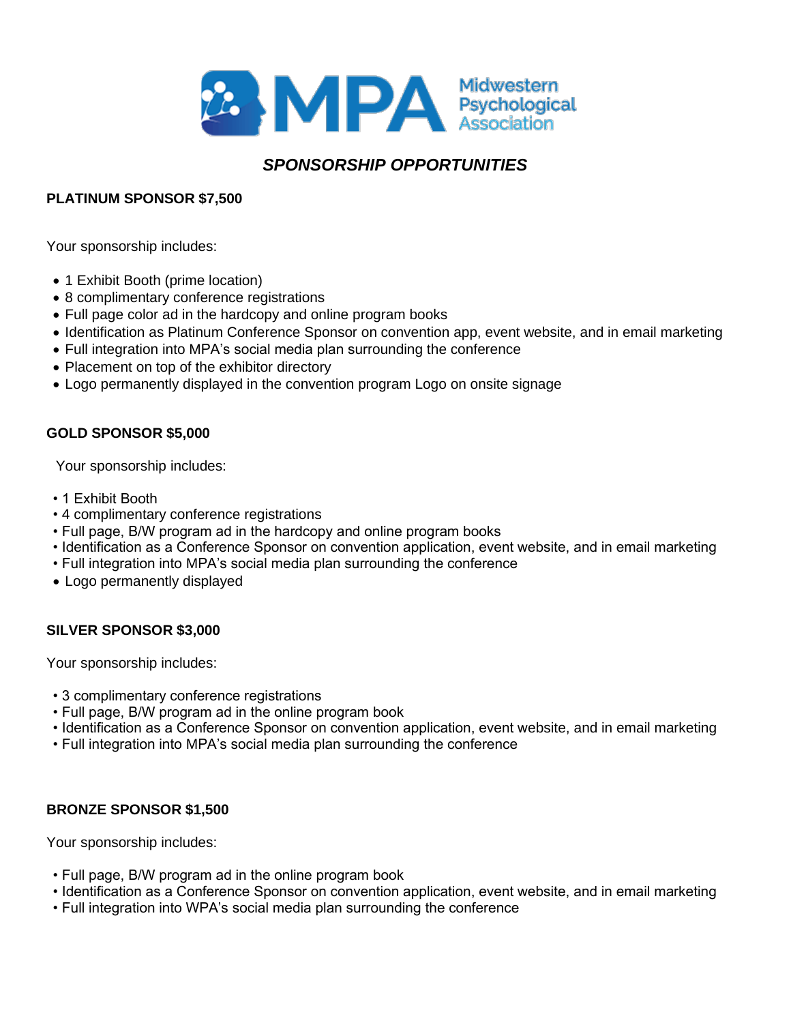

# *SPONSORSHIP OPPORTUNITIES*

## **PLATINUM SPONSOR \$7,500**

Your sponsorship includes:

- 1 Exhibit Booth (prime location)
- 8 complimentary conference registrations
- Full page color ad in the hardcopy and online program books
- Identification as Platinum Conference Sponsor on convention app, event website, and in email marketing
- Full integration into MPA's social media plan surrounding the conference
- Placement on top of the exhibitor directory
- Logo permanently displayed in the convention program Logo on onsite signage

## **GOLD SPONSOR \$5,000**

Your sponsorship includes:

- 1 Exhibit Booth
- 4 complimentary conference registrations
- Full page, B/W program ad in the hardcopy and online program books
- Identification as a Conference Sponsor on convention application, event website, and in email marketing
- Full integration into MPA's social media plan surrounding the conference
- Logo permanently displayed

### **SILVER SPONSOR \$3,000**

Your sponsorship includes:

- 3 complimentary conference registrations
- Full page, B/W program ad in the online program book
- Identification as a Conference Sponsor on convention application, event website, and in email marketing
- Full integration into MPA's social media plan surrounding the conference

### **BRONZE SPONSOR \$1,500**

Your sponsorship includes:

- Full page, B/W program ad in the online program book
- Identification as a Conference Sponsor on convention application, event website, and in email marketing
- Full integration into WPA's social media plan surrounding the conference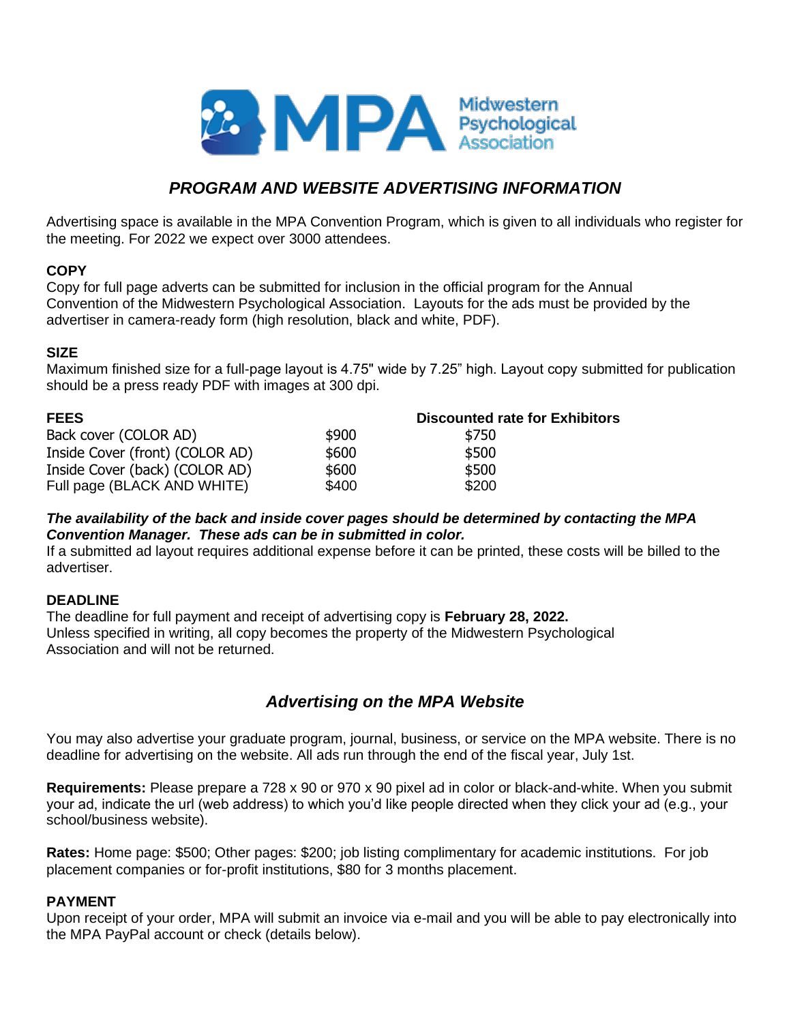

# *PROGRAM AND WEBSITE ADVERTISING INFORMATION*

Advertising space is available in the MPA Convention Program, which is given to all individuals who register for the meeting. For 2022 we expect over 3000 attendees.

#### **COPY**

Copy for full page adverts can be submitted for inclusion in the official program for the Annual Convention of the Midwestern Psychological Association. Layouts for the ads must be provided by the advertiser in camera-ready form (high resolution, black and white, PDF).

#### **SIZE**

Maximum finished size for a full-page layout is 4.75" wide by 7.25" high. Layout copy submitted for publication should be a press ready PDF with images at 300 dpi.

| <b>FEES</b>                     | <b>Discounted rate for Exhibitors</b> |       |  |
|---------------------------------|---------------------------------------|-------|--|
| Back cover (COLOR AD)           | \$900                                 | \$750 |  |
| Inside Cover (front) (COLOR AD) | \$600                                 | \$500 |  |
| Inside Cover (back) (COLOR AD)  | \$600                                 | \$500 |  |
| Full page (BLACK AND WHITE)     | \$400                                 | \$200 |  |

#### *The availability of the back and inside cover pages should be determined by contacting the MPA Convention Manager. These ads can be in submitted in color.*

If a submitted ad layout requires additional expense before it can be printed, these costs will be billed to the advertiser.

### **DEADLINE**

The deadline for full payment and receipt of advertising copy is **February 28, 2022.**  Unless specified in writing, all copy becomes the property of the Midwestern Psychological Association and will not be returned.

## *Advertising on the MPA Website*

You may also advertise your graduate program, journal, business, or service on the MPA website. There is no deadline for advertising on the website. All ads run through the end of the fiscal year, July 1st.

**Requirements:** Please prepare a 728 x 90 or 970 x 90 pixel ad in color or black-and-white. When you submit your ad, indicate the url (web address) to which you'd like people directed when they click your ad (e.g., your school/business website).

**Rates:** Home page: \$500; Other pages: \$200; job listing complimentary for academic institutions. For job placement companies or for-profit institutions, \$80 for 3 months placement.

### **PAYMENT**

Upon receipt of your order, MPA will submit an invoice via e-mail and you will be able to pay electronically into the MPA PayPal account or check (details below).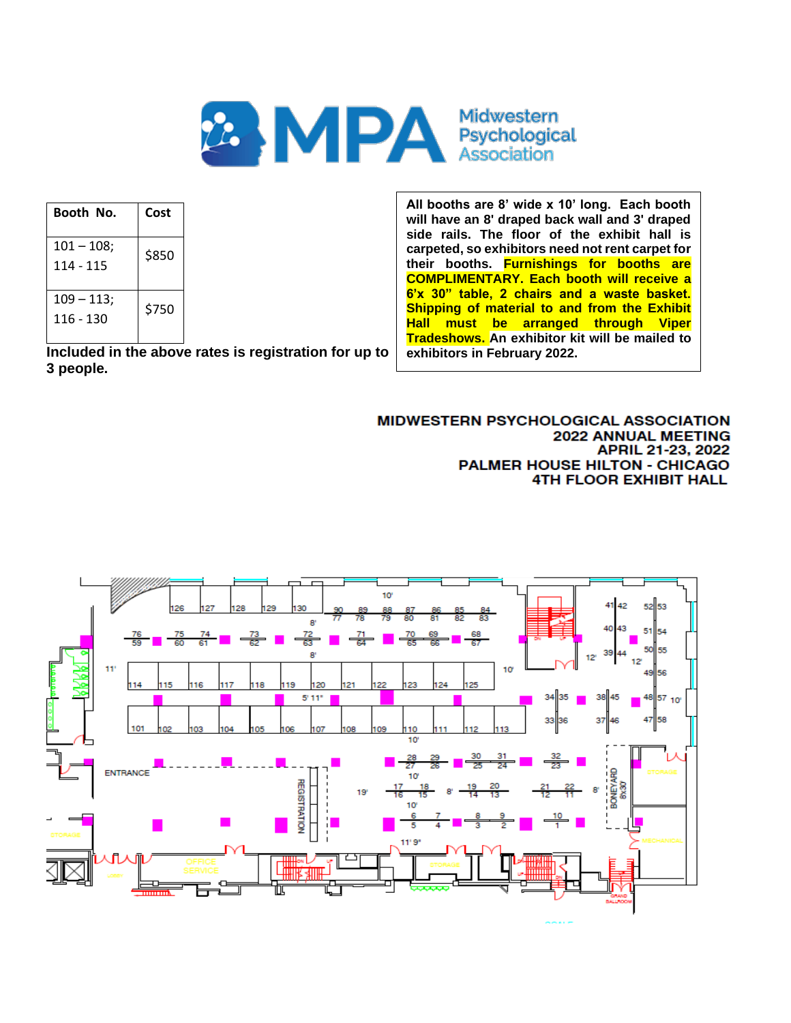

| Booth No.                  | Cost  |
|----------------------------|-------|
| $101 - 108$ ;<br>114 - 115 | \$850 |
| $109 - 113$ ;<br>116 - 130 | \$750 |

**Included in the above rates is registration for up to 3 people.**

**All booths are 8' wide x 10' long. Each booth will have an 8' draped back wall and 3' draped side rails. The floor of the exhibit hall is carpeted, so exhibitors need not rent carpet for their booths. Furnishings for booths are COMPLIMENTARY. Each booth will receive a 6'x 30" table, 2 chairs and a waste basket. Shipping of material to and from the Exhibit Hall must be arranged through Viper Tradeshows. An exhibitor kit will be mailed to exhibitors in February 2022.**

#### MIDWESTERN PSYCHOLOGICAL ASSOCIATION **2022 ANNUAL MEETING** APRIL 21-23, 2022 PALMER HOUSE HILTON - CHICAGO **4TH FLOOR EXHIBIT HALL**

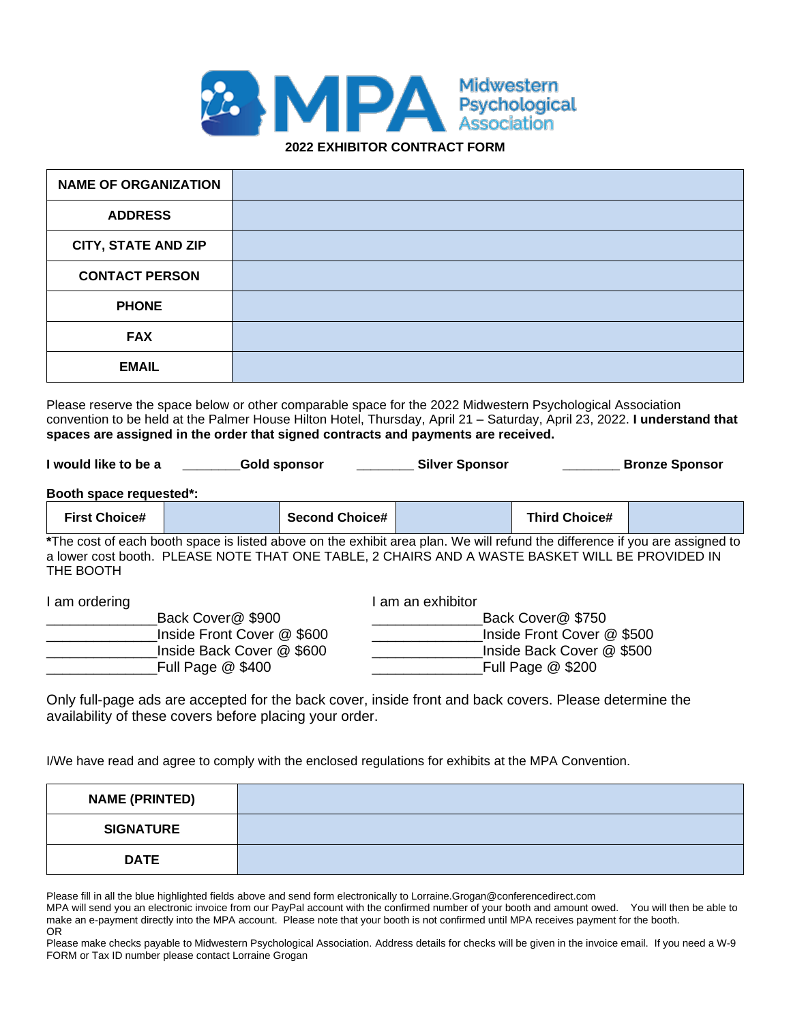

| <b>NAME OF ORGANIZATION</b> |  |
|-----------------------------|--|
| <b>ADDRESS</b>              |  |
| <b>CITY, STATE AND ZIP</b>  |  |
| <b>CONTACT PERSON</b>       |  |
| <b>PHONE</b>                |  |
| <b>FAX</b>                  |  |
| <b>EMAIL</b>                |  |

Please reserve the space below or other comparable space for the 2022 Midwestern Psychological Association convention to be held at the Palmer House Hilton Hotel, Thursday, April 21 – Saturday, April 23, 2022. **I understand that spaces are assigned in the order that signed contracts and payments are received.**

| I would like to be a    |                                                                                                                                                                                                                                 | <b>Gold sponsor</b>   | <b>Silver Sponsor</b> |                            | <b>Bronze Sponsor</b> |  |  |
|-------------------------|---------------------------------------------------------------------------------------------------------------------------------------------------------------------------------------------------------------------------------|-----------------------|-----------------------|----------------------------|-----------------------|--|--|
| Booth space requested*: |                                                                                                                                                                                                                                 |                       |                       |                            |                       |  |  |
| <b>First Choice#</b>    |                                                                                                                                                                                                                                 | <b>Second Choice#</b> |                       | <b>Third Choice#</b>       |                       |  |  |
| THE BOOTH               | *The cost of each booth space is listed above on the exhibit area plan. We will refund the difference if you are assigned to<br>a lower cost booth. PLEASE NOTE THAT ONE TABLE, 2 CHAIRS AND A WASTE BASKET WILL BE PROVIDED IN |                       |                       |                            |                       |  |  |
| I am ordering           |                                                                                                                                                                                                                                 |                       | am an exhibitor       |                            |                       |  |  |
|                         | Back Cover@\$900                                                                                                                                                                                                                |                       |                       | Back Cover@\$750           |                       |  |  |
|                         | Inside Front Cover @ \$600                                                                                                                                                                                                      |                       |                       | Inside Front Cover @ \$500 |                       |  |  |

\_Inside Front Cover @ \$600 \_\_\_\_\_\_\_\_\_\_\_\_\_\_\_\_\_\_\_Inside Front Cover @ \$500 \_\_\_\_\_\_\_\_\_\_\_\_\_\_Inside Back Cover @ \$600 \_\_\_\_\_\_\_\_\_\_\_\_\_\_Inside Back Cover @ \$500 \_\_\_\_\_\_\_\_\_\_\_\_\_\_Full Page @ \$400 \_\_\_\_\_\_\_\_\_\_\_\_\_\_Full Page @ \$200

Only full-page ads are accepted for the back cover, inside front and back covers. Please determine the availability of these covers before placing your order.

I/We have read and agree to comply with the enclosed regulations for exhibits at the MPA Convention.

| <b>NAME (PRINTED)</b> |  |
|-----------------------|--|
| <b>SIGNATURE</b>      |  |
| <b>DATE</b>           |  |

Please fill in all the blue highlighted fields above and send form electronically to Lorraine.Grogan@conferencedirect.com

MPA will send you an electronic invoice from our PayPal account with the confirmed number of your booth and amount owed. You will then be able to make an e-payment directly into the MPA account. Please note that your booth is not confirmed until MPA receives payment for the booth. OR

Please make checks payable to Midwestern Psychological Association. Address details for checks will be given in the invoice email. If you need a W-9 FORM or Tax ID number please contact Lorraine Grogan